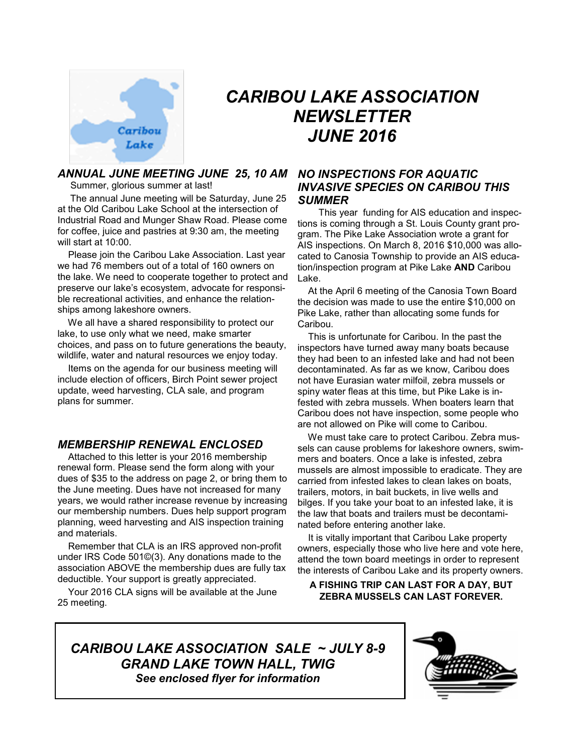

# *CARIBOU LAKE ASSOCIATION NEWSLETTER JUNE 2016*

## *ANNUAL JUNE MEETING JUNE 25, 10 AM NO INSPECTIONS FOR AQUATIC*

Summer, glorious summer at last!

 The annual June meeting will be Saturday, June 25 at the Old Caribou Lake School at the intersection of Industrial Road and Munger Shaw Road. Please come for coffee, juice and pastries at 9:30 am, the meeting will start at 10:00.

 Please join the Caribou Lake Association. Last year we had 76 members out of a total of 160 owners on the lake. We need to cooperate together to protect and preserve our lake's ecosystem, advocate for responsible recreational activities, and enhance the relationships among lakeshore owners.

 We all have a shared responsibility to protect our lake, to use only what we need, make smarter choices, and pass on to future generations the beauty, wildlife, water and natural resources we enjoy today.

 Items on the agenda for our business meeting will include election of officers, Birch Point sewer project update, weed harvesting, CLA sale, and program plans for summer.

## *MEMBERSHIP RENEWAL ENCLOSED*

 Attached to this letter is your 2016 membership renewal form. Please send the form along with your dues of \$35 to the address on page 2, or bring them to the June meeting. Dues have not increased for many years, we would rather increase revenue by increasing our membership numbers. Dues help support program planning, weed harvesting and AIS inspection training and materials.

 Remember that CLA is an IRS approved non-profit under IRS Code 501©(3). Any donations made to the association ABOVE the membership dues are fully tax deductible. Your support is greatly appreciated.

 Your 2016 CLA signs will be available at the June 25 meeting.

## *INVASIVE SPECIES ON CARIBOU THIS SUMMER*

 This year funding for AIS education and inspections is coming through a St. Louis County grant program. The Pike Lake Association wrote a grant for AIS inspections. On March 8, 2016 \$10,000 was allocated to Canosia Township to provide an AIS education/inspection program at Pike Lake **AND** Caribou Lake.

 At the April 6 meeting of the Canosia Town Board the decision was made to use the entire \$10,000 on Pike Lake, rather than allocating some funds for Caribou.

 This is unfortunate for Caribou. In the past the inspectors have turned away many boats because they had been to an infested lake and had not been decontaminated. As far as we know, Caribou does not have Eurasian water milfoil, zebra mussels or spiny water fleas at this time, but Pike Lake is infested with zebra mussels. When boaters learn that Caribou does not have inspection, some people who are not allowed on Pike will come to Caribou.

 We must take care to protect Caribou. Zebra mussels can cause problems for lakeshore owners, swimmers and boaters. Once a lake is infested, zebra mussels are almost impossible to eradicate. They are carried from infested lakes to clean lakes on boats, trailers, motors, in bait buckets, in live wells and bilges. If you take your boat to an infested lake, it is the law that boats and trailers must be decontaminated before entering another lake.

 It is vitally important that Caribou Lake property owners, especially those who live here and vote here, attend the town board meetings in order to represent the interests of Caribou Lake and its property owners.

## **A FISHING TRIP CAN LAST FOR A DAY, BUT ZEBRA MUSSELS CAN LAST FOREVER.**

*CARIBOU LAKE ASSOCIATION SALE ~ JULY 8-9 GRAND LAKE TOWN HALL, TWIG See enclosed flyer for information*